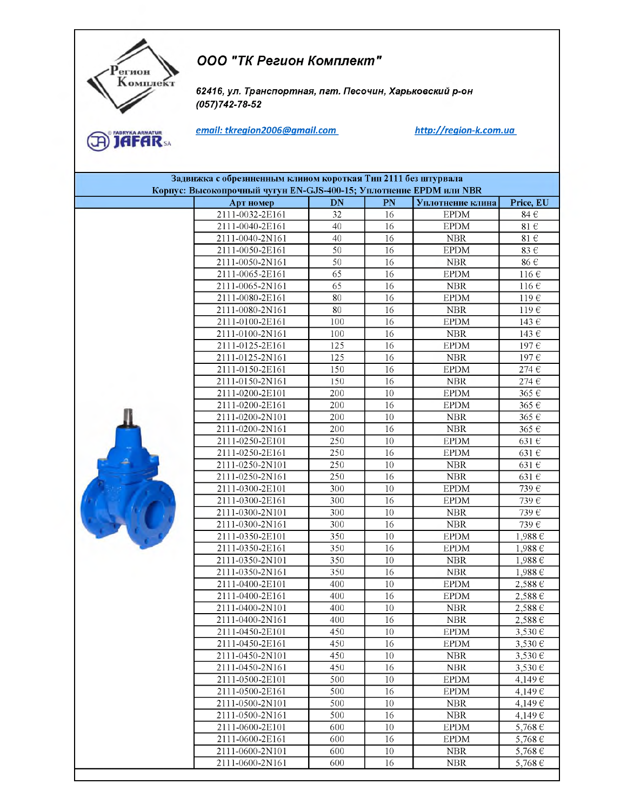## ООО "ТК Регион Комплект"

62416, ул. Транспортная, пгт. Песочин, Харьковский р-он  $(057)742 - 78 - 52$ 

**A** JAFAR

егион Комплект

email: tkregion2006@gmail.com

http://region-k.com.ua

| Задвнжка с обрезнненным клином короткая Тип 2111 без штурвала<br>Корпус: Высокопрочный чугун EN-GJS-400-15; Уплотнение EPDM или NBR |                 |                 |    |                  |                           |  |
|-------------------------------------------------------------------------------------------------------------------------------------|-----------------|-----------------|----|------------------|---------------------------|--|
|                                                                                                                                     | Арт номер       | <b>DN</b>       | PN | Уплотнение клина | Price, EU                 |  |
|                                                                                                                                     | 2111-0032-2E161 | 32              | 16 | <b>EPDM</b>      | $84 \in$                  |  |
|                                                                                                                                     | 2111-0040-2E161 | 40              | 16 | <b>EPDM</b>      | 81 $\in$                  |  |
|                                                                                                                                     | 2111-0040-2N161 | 40              | 16 | <b>NBR</b>       | 81 $\in$                  |  |
|                                                                                                                                     | 2111-0050-2E161 | 50              | 16 | <b>EPDM</b>      | 83 $\in$                  |  |
|                                                                                                                                     | 2111-0050-2N161 | 50              | 16 | ${\rm NBR}$      | 86 €                      |  |
|                                                                                                                                     | 2111-0065-2E161 | 65              | 16 | <b>EPDM</b>      | $116 \in$                 |  |
|                                                                                                                                     | 2111-0065-2N161 | $\overline{65}$ | 16 | NBR              | 116 $\epsilon$            |  |
|                                                                                                                                     | 2111-0080-2E161 | 80              | 16 | <b>EPDM</b>      | $119 \in$                 |  |
|                                                                                                                                     | 2111-0080-2N161 | 80              | 16 | <b>NBR</b>       | 119E                      |  |
|                                                                                                                                     | 2111-0100-2E161 | 100             | 16 | <b>EPDM</b>      | 143 $\overline{\epsilon}$ |  |
|                                                                                                                                     | 2111-0100-2N161 | 100             | 16 | <b>NBR</b>       | 143 €                     |  |
|                                                                                                                                     | 2111-0125-2E161 | 125             | 16 | <b>EPDM</b>      | 197€                      |  |
|                                                                                                                                     | 2111-0125-2N161 | 125             | 16 | <b>NBR</b>       | 197€                      |  |
|                                                                                                                                     | 2111-0150-2E161 | 150             | 16 | <b>EPDM</b>      | 274 $\in$                 |  |
|                                                                                                                                     | 2111-0150-2N161 | 150             | 16 | <b>NBR</b>       | 274 $\in$                 |  |
|                                                                                                                                     | 2111-0200-2E101 | 200             | 10 | <b>EPDM</b>      | 365€                      |  |
|                                                                                                                                     | 2111-0200-2E161 | 200             | 16 | <b>EPDM</b>      | 365€                      |  |
|                                                                                                                                     | 2111-0200-2N101 | 200             | 10 | <b>NBR</b>       | 365€                      |  |
|                                                                                                                                     | 2111-0200-2N161 | 200             | 16 | <b>NBR</b>       | 365€                      |  |
|                                                                                                                                     | 2111-0250-2E101 | 250             | 10 | <b>EPDM</b>      | 631 $\epsilon$            |  |
|                                                                                                                                     | 2111-0250-2E161 | 250             | 16 | <b>EPDM</b>      | 631€                      |  |
|                                                                                                                                     | 2111-0250-2N101 | 250             | 10 | <b>NBR</b>       | 631€                      |  |
|                                                                                                                                     | 2111-0250-2N161 | 250             | 16 | NBR              | 631 $\in$                 |  |
|                                                                                                                                     | 2111-0300-2E101 | 300             | 10 | <b>EPDM</b>      | 739€                      |  |
|                                                                                                                                     | 2111-0300-2E161 | 300             | 16 | <b>EPDM</b>      | 739€                      |  |
|                                                                                                                                     | 2111-0300-2N101 | 300             | 10 | <b>NBR</b>       | 739 $\overline{\epsilon}$ |  |
|                                                                                                                                     | 2111-0300-2N161 | 300             | 16 | <b>NBR</b>       | 739€                      |  |
|                                                                                                                                     | 2111-0350-2E101 | 350             | 10 | <b>EPDM</b>      | 1,988€                    |  |
|                                                                                                                                     | 2111-0350-2E161 | 350             | 16 | <b>EPDM</b>      | $1,988 \in$               |  |
|                                                                                                                                     | 2111-0350-2N101 | 350             | 10 | <b>NBR</b>       | $1,988 \in$               |  |
|                                                                                                                                     | 2111-0350-2N161 | 350             | 16 | NBR              | $1,988 \in$               |  |
|                                                                                                                                     | 2111-0400-2E101 | 400             | 10 | <b>EPDM</b>      | $2,588 \in$               |  |
|                                                                                                                                     | 2111-0400-2E161 | 400             | 16 | <b>EPDM</b>      | $2,588 \in$               |  |
|                                                                                                                                     | 2111-0400-2N101 | 400             | 10 | <b>NBR</b>       | $2,588 \in$               |  |
|                                                                                                                                     | 2111-0400-2N161 | 400             | 16 | <b>NBR</b>       | $2.588 \in$               |  |
|                                                                                                                                     | 2111-0450-2E101 | 450.            | 10 | <b>EPDM</b>      | 3,530€                    |  |
|                                                                                                                                     | 2111-0450-2E161 | 450             | 16 | <b>EPDM</b>      | 3,530€                    |  |
|                                                                                                                                     | 2111-0450-2N101 | 450             | 10 | <b>NBR</b>       | 3,530€                    |  |
|                                                                                                                                     | 2111-0450-2N161 | 450             | 16 | <b>NBR</b>       | 3,530€                    |  |
|                                                                                                                                     | 2111-0500-2E101 | 500             | 10 | <b>EPDM</b>      | 4,149€                    |  |
|                                                                                                                                     | 2111-0500-2E161 | 500             | 16 | <b>EPDM</b>      | 4,149€                    |  |
|                                                                                                                                     | 2111-0500-2N101 | 500             | 10 | <b>NBR</b>       | 4,149€                    |  |
|                                                                                                                                     | 2111-0500-2N161 | 500             | 16 | ${\rm NBR}$      | 4,149€                    |  |
|                                                                                                                                     | 2111-0600-2E101 | 600             | 10 | <b>EPDM</b>      | 5,768 €                   |  |
|                                                                                                                                     | 2111-0600-2E161 | 600             | 16 | <b>EPDM</b>      | 5,768 €                   |  |
|                                                                                                                                     | 2111-0600-2N101 | 600             | 10 | <b>NBR</b>       | 5,768€                    |  |
|                                                                                                                                     | 2111-0600-2N161 | 600             | 16 | <b>NBR</b>       | 5,768 €                   |  |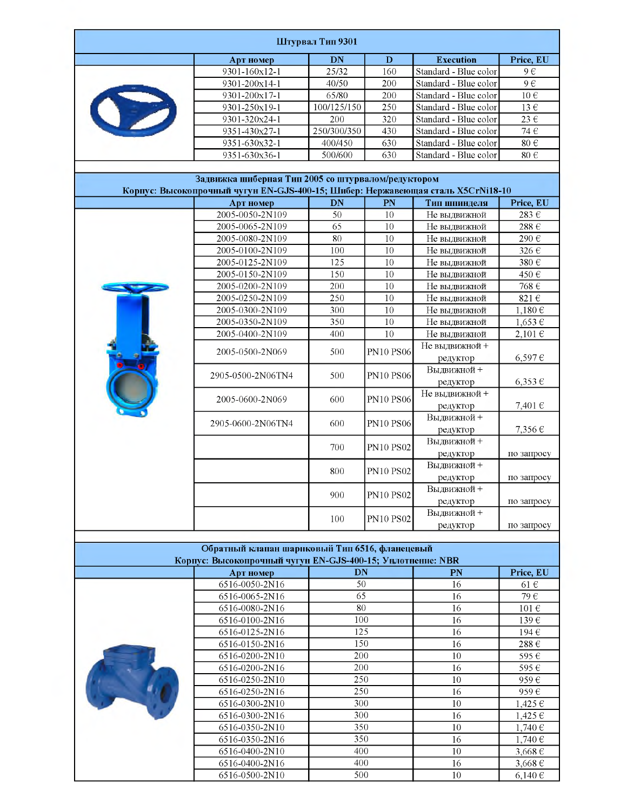| Штурвал Тип 9301 |                                                                                 |                  |                  |                        |                  |  |  |
|------------------|---------------------------------------------------------------------------------|------------------|------------------|------------------------|------------------|--|--|
|                  | Арт номер                                                                       | DN               | D                | <b>Execution</b>       | Price, EU        |  |  |
|                  | 9301-160x12-1                                                                   | 25/32            | 160              | Standard - Blue color  | $9 \overline{e}$ |  |  |
|                  | 9301-200x14-1                                                                   | 40/50            | 200              | Standard - Blue color  | $9 \in$          |  |  |
|                  | 9301-200x17-1                                                                   | 65/80            | 200              | Standard - Blue color  | $10 \in$         |  |  |
| $\bullet$        | 9301-250x19-1                                                                   | 100/125/150      | 250              | Standard - Blue color  | $13 \in$         |  |  |
|                  | 9301-320x24-1                                                                   | 200              | 320              | Standard - Blue color  | $23 \in$         |  |  |
|                  | 9351-430x27-1                                                                   | 250/300/350      | 430              | Standard - Blue color  | 74 $\in$         |  |  |
|                  | 9351-630x32-1                                                                   | 400/450          | 630              | Standard - Blue color  | $80\in$          |  |  |
|                  | 9351-630x36-1                                                                   | 500/600          | 630              | Standard - Blue color  | 80 $\in$         |  |  |
|                  |                                                                                 |                  |                  |                        |                  |  |  |
|                  | Задвижка шиберная Тип 2005 со штурвалом/редуктором                              |                  |                  |                        |                  |  |  |
|                  | Корпус: Высокопрочный чугун EN-GJS-400-15; Шибер: Нержавеющая сталь X5CrNi18-10 |                  |                  |                        |                  |  |  |
|                  | Арт номер                                                                       | DN<br>50         | PN<br>10         | Тип шпинделя           | Price, EU        |  |  |
|                  | 2005-0050-2N109                                                                 | $\overline{65}$  |                  | Не выдвижной           | 283€             |  |  |
|                  | 2005-0065-2N109                                                                 |                  | 10               | Не выдвижной           | $288 \in$        |  |  |
|                  | 2005-0080-2N109                                                                 | 80               | 10               | Не выдвижной           | 290€             |  |  |
|                  | 2005-0100-2N109                                                                 | 100              | 10               | Не выдвижной           | 326€             |  |  |
|                  | 2005-0125-2N109                                                                 | 125              | 10               | Не выдвижной           | 380€             |  |  |
|                  | 2005-0150-2N109                                                                 | 150              | 10               | Не выдвижной           | 450€             |  |  |
|                  | 2005-0200-2N109                                                                 | 200              | 10               | Не выдвижной           | 768 $\in$        |  |  |
|                  | 2005-0250-2N109                                                                 | 250              | 10               | Не выдвижной           | 821€             |  |  |
|                  | 2005-0300-2N109                                                                 | 300              | 10               | Не выдвижной           | 1,180€           |  |  |
|                  | 2005-0350-2N109                                                                 | 350              | 10               | Не выдвижной           | $1,653 \in$      |  |  |
|                  | 2005-0400-2N109                                                                 | 400              | 10               | Не выдвижной           | 2,101€           |  |  |
|                  | 2005-0500-2N069                                                                 | 500              | <b>PN10 PS06</b> | Не выдвижной +         |                  |  |  |
|                  |                                                                                 |                  |                  | редуктор               | $6,597 \in$      |  |  |
|                  | 2905-0500-2N06TN4                                                               | 500              | <b>PN10 PS06</b> | Выдвижной +            |                  |  |  |
|                  |                                                                                 |                  |                  | редуктор               | $6,353 \in$      |  |  |
|                  | 2005-0600-2N069                                                                 | 600              | <b>PN10 PS06</b> | Не выдвижной +         |                  |  |  |
|                  |                                                                                 |                  |                  | редуктор               | 7,401€           |  |  |
|                  | 2905-0600-2N06TN4                                                               | 600              | <b>PN10 PS06</b> | Выдвижной+             |                  |  |  |
|                  |                                                                                 |                  |                  | редуктор               | 7,356€           |  |  |
|                  |                                                                                 | 700              | <b>PN10 PS02</b> | Выдвижной +            |                  |  |  |
|                  |                                                                                 |                  |                  | редуктор               | по запросу       |  |  |
|                  |                                                                                 | 800              | <b>PN10 PS02</b> | Выдвижной +            |                  |  |  |
|                  |                                                                                 |                  |                  | редуктор               | по запросу       |  |  |
|                  |                                                                                 | 900              | <b>PN10 PS02</b> | Выдвижной+             |                  |  |  |
|                  |                                                                                 |                  |                  | редуктор<br>Выдвижной+ | по запросу       |  |  |
|                  |                                                                                 | 100              | <b>PN10 PS02</b> |                        |                  |  |  |
|                  |                                                                                 |                  |                  | редуктор               | по запросу       |  |  |
|                  | Обратный клапан шариковый Тип 6516, фланецевый                                  |                  |                  |                        |                  |  |  |
|                  | Корпус: Высокопрочный чугун EN-GJS-400-15; Унлотнение: NBR                      |                  |                  |                        |                  |  |  |
|                  | Арт номер                                                                       | <b>DN</b>        |                  | PN                     | Price, EU        |  |  |
|                  | 6516-0050-2N16                                                                  | 50               |                  | 16                     | $61 \in$         |  |  |
|                  | 6516-0065-2N16                                                                  | 65               |                  | 16                     | 79€              |  |  |
|                  | 6516-0080-2N16                                                                  | 80               |                  | 16                     | $101 \in$        |  |  |
|                  | 6516-0100-2N16                                                                  | 100              |                  | 16                     | 139€             |  |  |
|                  | 6516-0125-2N16                                                                  | $\overline{125}$ |                  | 16                     | 194€             |  |  |
|                  | 6516-0150-2N16                                                                  | 150              |                  | 16                     | $288 \in$        |  |  |
|                  | 6516-0200-2N10                                                                  | 200              |                  | 10                     | 595€             |  |  |
|                  | 6516-0200-2N16                                                                  | 200              |                  | 16                     | 595€             |  |  |
|                  | 6516-0250-2N10                                                                  | 250              |                  | 10                     | 959€             |  |  |
|                  | 6516-0250-2N16                                                                  | 250              |                  | 16                     | 959€             |  |  |
|                  | 6516-0300-2N10                                                                  | 300              |                  | 10                     | 1,425€           |  |  |
|                  | 6516-0300-2N16                                                                  | 300              |                  | 16                     | 1,425€           |  |  |
|                  | 6516-0350-2N10                                                                  | 350              |                  | 10                     | 1,740€           |  |  |
|                  | 6516-0350-2N16                                                                  | 350              |                  | 16                     | 1,740€           |  |  |
|                  | 6516-0400-2N10                                                                  | 400              |                  | $10\,$                 | 3,668€           |  |  |
|                  | 6516-0400-2N16                                                                  | 400              |                  | 16                     | 3,668€           |  |  |
|                  | 6516-0500-2N10                                                                  | 500              |                  | 10                     | 6,140€           |  |  |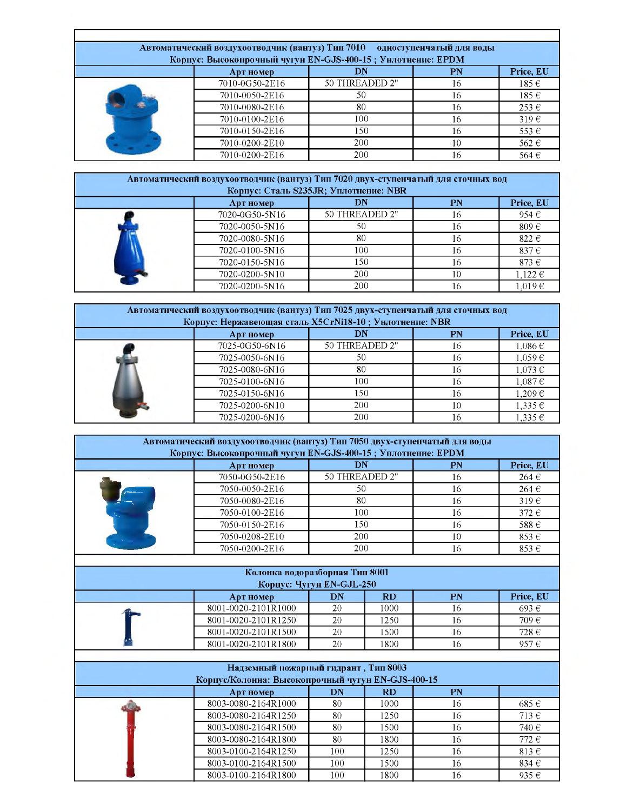| Автоматнческий воздухоотводчик (вантуз) Тип 7010 одноступенчатый для воды<br>Корпус: Высокопрочный чугун EN-GJS-400-15; Унлотнение: EPDM |                |                |    |           |  |  |  |
|------------------------------------------------------------------------------------------------------------------------------------------|----------------|----------------|----|-----------|--|--|--|
|                                                                                                                                          | Арт номер      | DN             | PN | Price, EU |  |  |  |
|                                                                                                                                          | 7010-0G50-2E16 | 50 THREADED 2" | 16 | $185 \in$ |  |  |  |
|                                                                                                                                          | 7010-0050-2E16 | 50             | 16 | $185 \in$ |  |  |  |
|                                                                                                                                          | 7010-0080-2E16 | 80             | 16 | $253 \in$ |  |  |  |
|                                                                                                                                          | 7010-0100-2E16 | 100            | 16 | $319 \in$ |  |  |  |
|                                                                                                                                          | 7010-0150-2E16 | 150.           | 16 | $553 \in$ |  |  |  |
|                                                                                                                                          | 7010-0200-2E10 | 200            | 10 | 562 €     |  |  |  |
|                                                                                                                                          | 7010-0200-2E16 | <b>200</b>     | 16 | 564 €     |  |  |  |

| Автоматнческий воздухоотводчик (вантуз) Тип 7020 двух-ступенчатый для сточных вод |                                       |                |    |             |  |  |  |  |
|-----------------------------------------------------------------------------------|---------------------------------------|----------------|----|-------------|--|--|--|--|
|                                                                                   | Корпус: Сталь S235JR; Уплотнение: NBR |                |    |             |  |  |  |  |
|                                                                                   | Price, EU<br>DN<br>PN<br>Арт номер    |                |    |             |  |  |  |  |
|                                                                                   | 7020-0G50-5N16                        | 50 THREADED 2" | 16 | $954 \in$   |  |  |  |  |
|                                                                                   | 7020-0050-5N16                        | 50             | 16 | $809 \in$   |  |  |  |  |
|                                                                                   | 7020-0080-5N16                        | 80             | 16 | 822 $\in$   |  |  |  |  |
|                                                                                   | 7020-0100-5N16                        | 100            | 16 | $837 \in$   |  |  |  |  |
|                                                                                   | 7020-0150-5N16                        | 150            | 16 | $873 \in$   |  |  |  |  |
|                                                                                   | 7020-0200-5N10                        | 200            | 10 | $1.122 \in$ |  |  |  |  |

r 1

 $7020-0200-5N16$  200 16 1,019 €

| Автоматический воздухоотводчик (вантуз) Тип 7025 двух-ступенчатый для сточных вод<br>Корпус: Нержавеющая сталь X5CrNi18-10; Унлотнение: NBR |                                           |                |    |             |  |  |  |  |
|---------------------------------------------------------------------------------------------------------------------------------------------|-------------------------------------------|----------------|----|-------------|--|--|--|--|
|                                                                                                                                             | Price, EU<br>DN<br><b>PN</b><br>Арт номер |                |    |             |  |  |  |  |
|                                                                                                                                             | 7025-0G50-6N16                            | 50 THREADED 2" | 16 | $1,086 \in$ |  |  |  |  |
|                                                                                                                                             | 7025-0050-6N16                            | 50             | 16 | $1.059 \in$ |  |  |  |  |
|                                                                                                                                             | 7025-0080-6N16                            | 80             | 16 | $1,073 \in$ |  |  |  |  |
|                                                                                                                                             | 7025-0100-6N16                            | 100            | 16 | $1,087 \in$ |  |  |  |  |
|                                                                                                                                             | 7025-0150-6N16                            | 150            | 16 | 1,209€      |  |  |  |  |
|                                                                                                                                             | 7025-0200-6N10                            | 200            | 10 | $1,335 \in$ |  |  |  |  |
|                                                                                                                                             | 7025-0200-6N16                            | 200            |    | $1.335 \in$ |  |  |  |  |

| Корпус: Высокопрочный чугун EN-GJS-400-15; Уплотнение: EPDM |                |           |           |
|-------------------------------------------------------------|----------------|-----------|-----------|
| Арт номер                                                   | DN             | <b>PN</b> | Price, EU |
| 7050-0G50-2E16                                              | 50 THREADED 2" | 16        | $264 \in$ |
| 7050-0050-2E16                                              | 50             | 16        | $264 \in$ |
| 7050-0080-2E16                                              | 80             | 16        | $319 \in$ |
| 7050-0100-2E16                                              | 100            | 16        | $372 \in$ |
| 7050-0150-2E16                                              | 150            | 16        | 588€      |
| 7050-0208-2E10                                              | 200            | 10        | $853 \in$ |
| 7050-0200-2E16                                              | <b>200</b>     | 16        | $853 \in$ |

| Колонка водоразборная Тип 8001<br>Корпус: Чугун EN-GJL-250 |                     |    |           |    |           |  |  |
|------------------------------------------------------------|---------------------|----|-----------|----|-----------|--|--|
|                                                            | Арт номер           | DN | <b>RD</b> | PN | Price, EU |  |  |
|                                                            | 8001-0020-2101R1000 | 20 | 1000      | 16 | 693€      |  |  |
|                                                            | 8001-0020-2101R1250 | 20 | 1250      | 16 | 709€      |  |  |
|                                                            | 8001-0020-2101R1500 | 20 | 1500      | 16 | 728 €     |  |  |
|                                                            | 8001-0020-2101R1800 | 20 | 1800      | 16 | 957€      |  |  |

| $0.001 - 0.020 - 2101111300$                      | ∠∪  | 1700      | $\overline{1}$ | 120 <sup>o</sup> |
|---------------------------------------------------|-----|-----------|----------------|------------------|
| 8001-0020-2101R1800                               | 20  | 1800      | 16             | 957 $\in$        |
|                                                   |     |           |                |                  |
| Надземный пожарный гидрант, Тип 8003              |     |           |                |                  |
| Корпус/Колонна: Высокопрочный чугун EN-GJS-400-15 |     |           |                |                  |
| Арт номер                                         | DN  | <b>RD</b> | <b>PN</b>      |                  |
| 8003-0080-2164R1000                               | 80  | 1000      | 16             | $685 \in$        |
| 8003-0080-2164R1250                               | 80  | 1250      | 16             | $713 \in$        |
| 8003-0080-2164R1500                               | 80  | 1500      | 16             | 740 €            |
| 8003-0080-2164R1800                               | 80  | 1800      | 16             | 772E             |
| 8003-0100-2164R1250                               | 100 | 1250      | 16             | $813 \in$        |
| 8003-0100-2164R1500                               | 100 | 1500      | 16             | 834 $\in$        |
| 8003-0100-2164R1800                               | 100 | 1800      | 16             | 935 $\epsilon$   |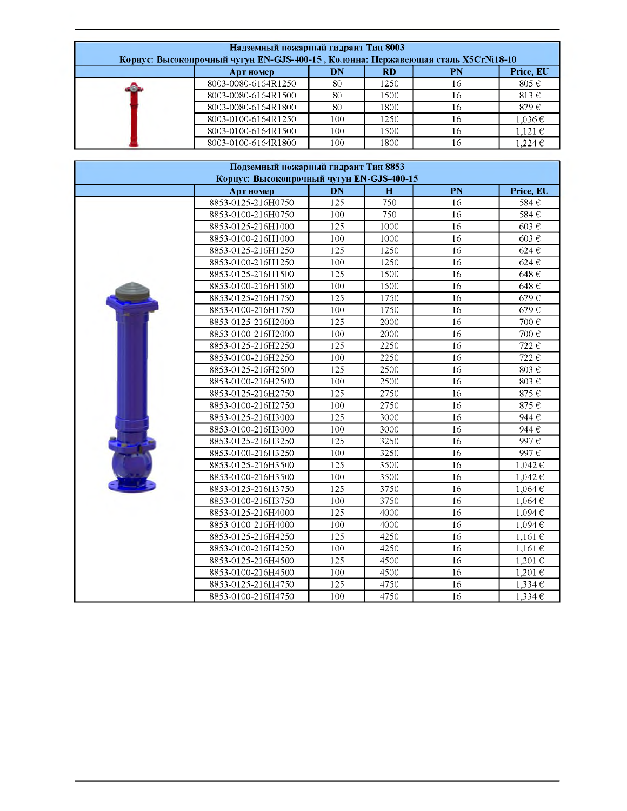| Надземный пожарный гидрант Тип 8003<br>Корпус: Высокопрочный чугун EN-GJS-400-15, Колонна: Нержавеющая сталь X5CrNi18-10 |                                           |      |    |             |  |  |  |  |
|--------------------------------------------------------------------------------------------------------------------------|-------------------------------------------|------|----|-------------|--|--|--|--|
| Арт номер                                                                                                                | Price, EU<br>DN<br><b>PN</b><br><b>RD</b> |      |    |             |  |  |  |  |
| 8003-0080-6164R1250                                                                                                      | 80                                        | 1250 | 16 | $805 \in$   |  |  |  |  |
| 8003-0080-6164R1500                                                                                                      | 80                                        | 1500 | 16 | $813 \in$   |  |  |  |  |
| 8003-0080-6164R1800                                                                                                      | 80                                        | 1800 | 16 | 879€        |  |  |  |  |
| 8003-0100-6164R1250                                                                                                      | 100                                       | 1250 | 16 | $1.036 \in$ |  |  |  |  |
| 8003-0100-6164R1500                                                                                                      | 100.                                      | 1500 | 16 | $1.121 \in$ |  |  |  |  |
| 8003-0100-6164R1800                                                                                                      | 100.                                      | 1800 | 16 | $1.224 \in$ |  |  |  |  |

|                                           |     |             |                 | .                 |
|-------------------------------------------|-----|-------------|-----------------|-------------------|
| 8003-0100-6164R1800                       | 100 | 1800        | 16              | $1,224 \in$       |
|                                           |     |             |                 |                   |
| Подземный пожарный гидрант Тип 8853       |     |             |                 |                   |
| Корпус: Высокопрочный чугун EN-GJS-400-15 |     |             |                 |                   |
| Арт номер                                 | DN  | $\mathbf H$ | PN              | Price, EU         |
| 8853-0125-216H0750                        | 125 | 750         | 16              | 584€              |
| 8853-0100-216H0750                        | 100 | 750         | 16              | 584E              |
| 8853-0125-216H1000                        | 125 | 1000        | 16              | 603€              |
| 8853-0100-216H1000                        | 100 | 1000        | 16              | 603€              |
| 8853-0125-216H1250                        | 125 | 1250        | 16              | $624 \in$         |
| 8853-0100-216H1250                        | 100 | 1250        | 16              | 624€              |
| 8853-0125-216H1500                        | 125 | 1500        | 16              | 648€              |
| 8853-0100-216H1500                        | 100 | 1500        | 16              | 648€              |
| 8853-0125-216H1750                        | 125 | 1750        | 16              | 679€              |
| 8853-0100-216H1750                        | 100 | 1750        | 16              | 679€              |
| 8853-0125-216H2000                        | 125 | 2000        | 16              | 700€              |
| 8853-0100-216H2000                        | 100 | 2000        | 16              | 700€              |
| 8853-0125-216H2250                        | 125 | 2250        | 16              | 722€              |
| 8853-0100-216H2250                        | 100 | 2250        | 16              | 722€              |
| 8853-0125-216H2500                        | 125 | 2500        | 16              | 803 $\in$         |
| 8853-0100-216H2500                        | 100 | 2500        | 16              | 803 $\varepsilon$ |
| 8853-0125-216H2750                        | 125 | 2750        | 16              | 875€              |
| 8853-0100-216H2750                        | 100 | 2750        | 16              | 875€              |
| 8853-0125-216H3000                        | 125 | 3000        | 16              | 944€              |
| 8853-0100-216H3000                        | 100 | 3000        | 16              | 944€              |
| 8853-0125-216H3250                        | 125 | 3250        | 16              | 997€              |
| 8853-0100-216H3250                        | 100 | 3250        | 16              | 997€              |
| 8853-0125-216H3500                        | 125 | 3500        | $\overline{16}$ | $1,042 \in$       |
| 8853-0100-216H3500                        | 100 | 3500        | 16              | $1,042 \in$       |
| 8853-0125-216H3750                        | 125 | 3750        | 16              | $1,064 \in$       |
| 8853-0100-216H3750                        | 100 | 3750        | 16              | 1,064€            |
| 8853-0125-216H4000                        | 125 | 4000        | 16              | 1,094€            |
| 8853-0100-216H4000                        | 100 | 4000        | 16              | 1,094€            |
| 8853-0125-216H4250                        | 125 | 4250        | 16              | $1,161 \in$       |
| 8853-0100-216H4250                        | 100 | 4250        | 16              | $1,161 \in$       |
| 8853-0125-216H4500                        | 125 | 4500        | 16              | $1,201$ €         |
| 8853-0100-216H4500                        | 100 | 4500        | 16              | 1,201€            |
| 8853-0125-216H4750                        | 125 | 4750        | 16              | 1,334€            |
| 8853-0100-216H4750                        | 100 | 4750        | 16              | $1.334 \in$       |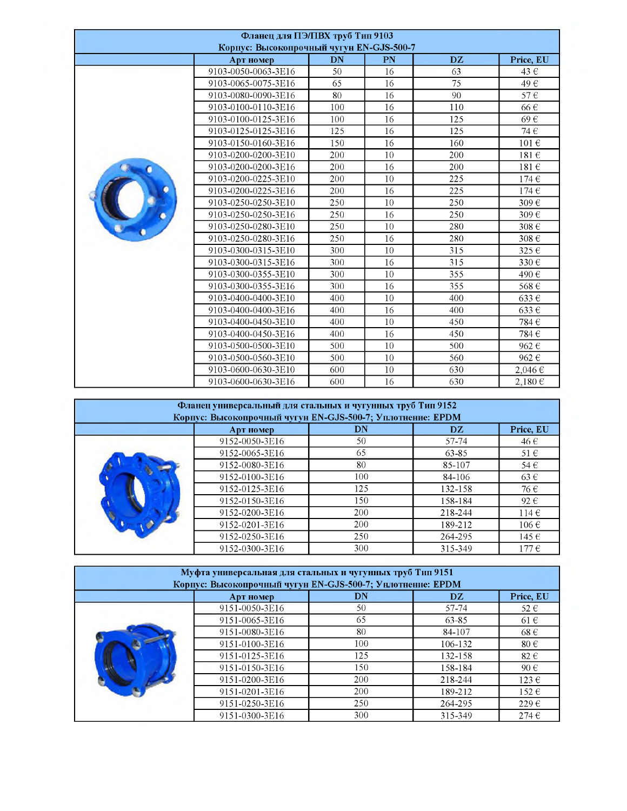| Фланец для ПЭ/ПВХ труб Тип 9103<br>Корпус: Высокопрочный чугун EN-GJS-500-7 |                     |     |    |     |             |  |  |
|-----------------------------------------------------------------------------|---------------------|-----|----|-----|-------------|--|--|
|                                                                             | Арт номер           | DN  | PN | DZ. | Price, EU   |  |  |
|                                                                             | 9103-0050-0063-3E16 | 50  | 16 | 63  | 43 €        |  |  |
|                                                                             | 9103-0065-0075-3E16 | 65  | 16 | 75  | 49€         |  |  |
|                                                                             | 9103-0080-0090-3E16 | 80  | 16 | 90  | 57€         |  |  |
|                                                                             | 9103-0100-0110-3E16 | 100 | 16 | 110 | 66€         |  |  |
|                                                                             | 9103-0100-0125-3E16 | 100 | 16 | 125 | 69€         |  |  |
|                                                                             | 9103-0125-0125-3E16 | 125 | 16 | 125 | 74€         |  |  |
|                                                                             | 9103-0150-0160-3E16 | 150 | 16 | 160 | $101 \in$   |  |  |
|                                                                             | 9103-0200-0200-3E10 | 200 | 10 | 200 | $181 \in$   |  |  |
|                                                                             | 9103-0200-0200-3E16 | 200 | 16 | 200 | $181 \in$   |  |  |
|                                                                             | 9103-0200-0225-3E10 | 200 | 10 | 225 | $174 \in$   |  |  |
|                                                                             | 9103-0200-0225-3E16 | 200 | 16 | 225 | $174 \in$   |  |  |
|                                                                             | 9103-0250-0250-3E10 | 250 | 10 | 250 | 309€        |  |  |
|                                                                             | 9103-0250-0250-3E16 | 250 | 16 | 250 | 309€        |  |  |
|                                                                             | 9103-0250-0280-3E10 | 250 | 10 | 280 | 308€        |  |  |
|                                                                             | 9103-0250-0280-3E16 | 250 | 16 | 280 | 308€        |  |  |
|                                                                             | 9103-0300-0315-3E10 | 300 | 10 | 315 | $325 \in$   |  |  |
|                                                                             | 9103-0300-0315-3E16 | 300 | 16 | 315 | 330€        |  |  |
|                                                                             | 9103-0300-0355-3E10 | 300 | 10 | 355 | 490€        |  |  |
|                                                                             | 9103-0300-0355-3E16 | 300 | 16 | 355 | 568€        |  |  |
|                                                                             | 9103-0400-0400-3E10 | 400 | 10 | 400 | $633 \in$   |  |  |
|                                                                             | 9103-0400-0400-3E16 | 400 | 16 | 400 | 633€        |  |  |
|                                                                             | 9103-0400-0450-3E10 | 400 | 10 | 450 | 784 €       |  |  |
|                                                                             | 9103-0400-0450-3E16 | 400 | 16 | 450 | 784€        |  |  |
|                                                                             | 9103-0500-0500-3E10 | 500 | 10 | 500 | 962€        |  |  |
|                                                                             | 9103-0500-0560-3E10 | 500 | 10 | 560 | $962 \in$   |  |  |
|                                                                             | 9103-0600-0630-3E10 | 600 | 10 | 630 | $2.046 \in$ |  |  |
|                                                                             | 9103-0600-0630-3E16 | 600 | 16 | 630 | 2.180€      |  |  |

|                                                            |                                                            |     | $\sim$ | $\sim$ $\sim$ | - - - - - - |  |  |  |
|------------------------------------------------------------|------------------------------------------------------------|-----|--------|---------------|-------------|--|--|--|
|                                                            |                                                            |     |        |               |             |  |  |  |
|                                                            | Фланец универсальный для стальных и чугунных труб Тип 9152 |     |        |               |             |  |  |  |
| Корпус: Высокопрочный чугун EN-GJS-500-7; Уплотнение: EPDM |                                                            |     |        |               |             |  |  |  |
|                                                            | Арт номер                                                  | DN  |        | DZ.           | Price, EU   |  |  |  |
|                                                            | 9152-0050-3E16                                             | 50  |        | 57-74         | 46 €        |  |  |  |
|                                                            | 9152-0065-3E16                                             | 65  |        | 63-85         | $51 \in$    |  |  |  |
|                                                            | 9152-0080-3E16                                             | 80  |        | 85-107        | $54 \in$    |  |  |  |
|                                                            | 9152-0100-3E16                                             | 100 |        | 84-106        | $63 \in$    |  |  |  |
|                                                            | 9152-0125-3E16                                             | 125 |        | 132-158       | 76€         |  |  |  |
|                                                            | 9152-0150-3E16                                             | 150 |        | 158-184       | $92 \in$    |  |  |  |
|                                                            | 9152-0200-3E16                                             | 200 |        | 218-244       | $114 \in$   |  |  |  |
|                                                            | 9152-0201-3E16                                             | 200 |        | 189-212       | $106 \in$   |  |  |  |
|                                                            | 9152-0250-3E16                                             | 250 |        | 264-295       | $145 \in$   |  |  |  |
|                                                            | 9152-0300-3E16                                             | 300 |        | 315-349       | 177€        |  |  |  |

| Муфта универсальная для стальных и чугунных труб Тип 9151<br>Корпус: Высокопрочный чугун EN-GJS-500-7; Унлотнение: ЕРDM |                |            |         |           |  |  |  |  |
|-------------------------------------------------------------------------------------------------------------------------|----------------|------------|---------|-----------|--|--|--|--|
|                                                                                                                         | Арт номер      | DN         | DZ      | Price, EU |  |  |  |  |
|                                                                                                                         | 9151-0050-3E16 | 50         | 57-74   | $52 \in$  |  |  |  |  |
|                                                                                                                         | 9151-0065-3E16 | 65         | 63-85   | $61 \in$  |  |  |  |  |
|                                                                                                                         | 9151-0080-3E16 | 80         | 84-107  | $68 \in$  |  |  |  |  |
|                                                                                                                         | 9151-0100-3E16 | 100        | 106-132 | $80 \in$  |  |  |  |  |
|                                                                                                                         | 9151-0125-3E16 | 125        | 132-158 | $82 \in$  |  |  |  |  |
|                                                                                                                         | 9151-0150-3E16 | 150        | 158-184 | 90€       |  |  |  |  |
|                                                                                                                         | 9151-0200-3E16 | <b>200</b> | 218-244 | $123 \in$ |  |  |  |  |
|                                                                                                                         | 9151-0201-3E16 | 200        | 189-212 | $152 \in$ |  |  |  |  |
|                                                                                                                         | 9151-0250-3E16 | 250        | 264-295 | $229 \in$ |  |  |  |  |
|                                                                                                                         | 9151-0300-3E16 | 300        | 315-349 | 274E      |  |  |  |  |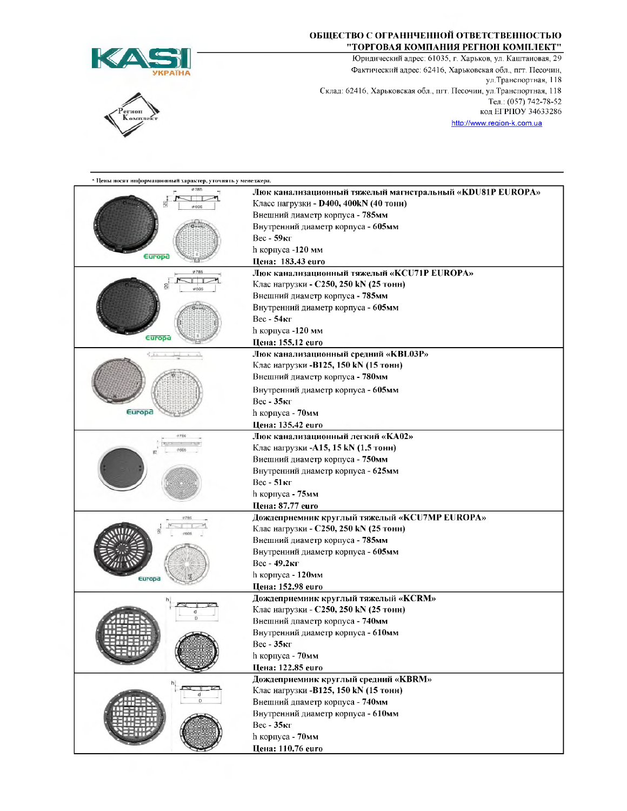

## ruon

## ОБЩЕСТВО С ОГРАННЧЕННОЙ ОТВЕТСТВЕННОСТЬЮ "ТОРГОВАЯ КОМПАНИЯ РЕГНОН КОМПЛЕКТ"

Юридический адрес: 61035, г. Харьков, ул. Каштаиовая, 29 Фактический адрес: 62416, Харьковская обл., пгт. Песочин, ул. Транспортная, 118 Склад: 62416, Харьковская обл., пгт. Песочии, ул. Транспортная, 118 Тел.: (057) 742-78-52 **код ЕГРПОУ 34633286** http://www.region-k.com.ua

| * Цены носят информационный характер, уточнять у менеджера. |                                                                                                     |
|-------------------------------------------------------------|-----------------------------------------------------------------------------------------------------|
|                                                             | Люк каналнзационный тяжелый магнстральный «KDU81P EUROPA»<br>Класс нагрузки - D400, 400kN (40 тонн) |
|                                                             | Внешний диаметр корпуса - 785мм                                                                     |
|                                                             | Внутренний диаметр корпуса - 605мм                                                                  |
|                                                             | $Bec - 59$ кг                                                                                       |
| Europa                                                      | h корпуса -120 мм                                                                                   |
|                                                             | Цена: 183.43 еиго                                                                                   |
| #785<br>0605                                                | Люк каналнзационный тяжелый «KCU71P EUROPA»                                                         |
|                                                             | Клас нагрузки - C250, 250 kN (25 тонн)                                                              |
|                                                             | Внешний диаметр корпуса - 785мм                                                                     |
|                                                             | Внутренний диаметр корпуса - 605мм                                                                  |
|                                                             | $Bec - 54$ кг                                                                                       |
|                                                             | h корпуса -120 мм                                                                                   |
| Europa                                                      | Цена: 155.12 еиго                                                                                   |
| Europa                                                      | Люк канализационный средний «КВL03Р»                                                                |
|                                                             | Клас нагрузки -B125, 150 kN (15 тонн)                                                               |
|                                                             | Внешний диаметр корпуса - 780мм                                                                     |
|                                                             | Внутренний диаметр корпуса - 605мм                                                                  |
|                                                             | Вес - 35кг                                                                                          |
|                                                             | h корпуса - 70мм                                                                                    |
|                                                             | Цена: 135.42 euro                                                                                   |
| #750                                                        | Люк канализационный легкий «КА02»                                                                   |
|                                                             | Клас нагрузки -A15, 15 kN (1.5 тонн)                                                                |
|                                                             | Виешний диаметр корпуса - 750мм                                                                     |
|                                                             | Внутрениий диаметр корпуса - 625мм                                                                  |
|                                                             | Вес - 51кг                                                                                          |
|                                                             | h корпуса - 75мм                                                                                    |
|                                                             | Цена: 87.77 euro                                                                                    |
|                                                             | Дождепрнемник круглый тяжелый «KCU7MP EUROPA»                                                       |
|                                                             | Клас нагрузки - C250, 250 kN (25 тонн)                                                              |
|                                                             | Внешний диаметр корпуса - 785мм                                                                     |
|                                                             | Внутрениий диаметр корпуса - 605мм                                                                  |
|                                                             | Вес - 49.2кг                                                                                        |
| Europa                                                      | h корпуса - 120мм                                                                                   |
|                                                             | Цеиа: 152.98 euro                                                                                   |
|                                                             | Дождеприемиик круглый тяжелый «KCRM»                                                                |
|                                                             | Клас нагрузки - C250, 250 kN (25 тонн)                                                              |
|                                                             | Внешний дпаметр корпуса - 740мм                                                                     |
|                                                             | Внутренний диаметр корпуса - 610мм                                                                  |
|                                                             | Вес - 35кг                                                                                          |
|                                                             | h корпуса - 70мм                                                                                    |
|                                                             | Цена: 122.85 euro                                                                                   |
|                                                             | Дождеприемиик круглый средний «KBRM»                                                                |
|                                                             | Клас нагрузки -B125, 150 kN (15 тонн)                                                               |
|                                                             | Внешний дпаметр корпуса - 740мм                                                                     |
|                                                             | Внутренний диаметр корпуса - 610мм                                                                  |
|                                                             | $Bec - 35$ кг                                                                                       |
|                                                             | h корпуса - 70мм                                                                                    |
|                                                             | Цена: 110.76 euro                                                                                   |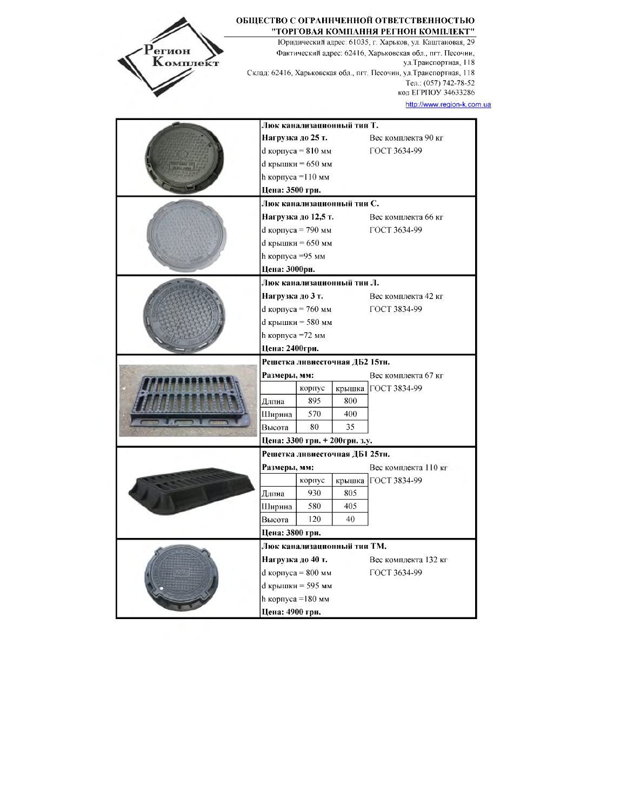| егион<br>Комплект |                                                   |                                      |     | Юридический адрес: 61035, г. Харьков, ул. Каштановая, 29<br>Фактический адрес: 62416, Харьковская обл., пгт. Песочии,<br>ул. Траиспортная, 118<br>Склад: 62416, Харьковская обл., пгт. Песочин, ул. Траиспортная, 118<br>Тел.: (057) 742-78-52<br>код ЕГРПОУ 34633286 |
|-------------------|---------------------------------------------------|--------------------------------------|-----|-----------------------------------------------------------------------------------------------------------------------------------------------------------------------------------------------------------------------------------------------------------------------|
|                   |                                                   |                                      |     | http://www.region-k.com.ua                                                                                                                                                                                                                                            |
|                   | Люк канализационный тин Т.                        |                                      |     |                                                                                                                                                                                                                                                                       |
|                   | Нагрузка до 25 т.                                 |                                      |     | Вес комплекта 90 кг                                                                                                                                                                                                                                                   |
|                   |                                                   | d корпуса = 810 мм                   |     | ГОСТ 3634-99                                                                                                                                                                                                                                                          |
|                   |                                                   | d крышки = 650 мм                    |     |                                                                                                                                                                                                                                                                       |
|                   | h корпуса =110 мм                                 |                                      |     |                                                                                                                                                                                                                                                                       |
|                   | Цена: 3500 грн.                                   |                                      |     |                                                                                                                                                                                                                                                                       |
|                   | Люк канализационный тии С.<br>Нагрузка до 12,5 т. |                                      |     | Вес комплекта 66 кг                                                                                                                                                                                                                                                   |
|                   |                                                   | d корпуса = 790 мм                   |     | ГОСТ 3634-99                                                                                                                                                                                                                                                          |
|                   |                                                   | d крышки = 650 мм                    |     |                                                                                                                                                                                                                                                                       |
|                   | h корпуса =95 мм                                  |                                      |     |                                                                                                                                                                                                                                                                       |
|                   | Цена: 3000рн.                                     |                                      |     |                                                                                                                                                                                                                                                                       |
|                   |                                                   | Люк канализационный тии Л.           |     |                                                                                                                                                                                                                                                                       |
|                   | Нагрузка до 3 т.                                  |                                      |     | Вес комплекта 42 кг                                                                                                                                                                                                                                                   |
|                   |                                                   | d корпуса = 760 мм                   |     | ГОСТ 3834-99                                                                                                                                                                                                                                                          |
|                   |                                                   | d крышки = 580 мм                    |     |                                                                                                                                                                                                                                                                       |
|                   | h корпуса =72 мм                                  |                                      |     |                                                                                                                                                                                                                                                                       |
|                   | Цена: 2400грн.                                    |                                      |     |                                                                                                                                                                                                                                                                       |
|                   |                                                   | Решетка ливнесточная ДБ2 15тн.       |     |                                                                                                                                                                                                                                                                       |
|                   | Размеры, мм:                                      |                                      |     | Вес комплекта 67 кг                                                                                                                                                                                                                                                   |
|                   |                                                   | корпус                               |     | крышка   ГОСТ 3834-99                                                                                                                                                                                                                                                 |
|                   | Длпиа                                             | 895                                  | 800 |                                                                                                                                                                                                                                                                       |
|                   | Ширина                                            | 570                                  | 400 |                                                                                                                                                                                                                                                                       |
|                   | Высота                                            | 80<br>Цена: 3300 грн. + 200грн. з.у. | 35  |                                                                                                                                                                                                                                                                       |
|                   |                                                   | Решетка ливнесточная ДБ1 25тн.       |     |                                                                                                                                                                                                                                                                       |
|                   | Размеры, мм:                                      |                                      |     | Вес комплекта 110 кг                                                                                                                                                                                                                                                  |
|                   |                                                   | корпус                               |     | крышка ГОСТ 3834-99                                                                                                                                                                                                                                                   |
|                   | Длпиа                                             | 930                                  | 805 |                                                                                                                                                                                                                                                                       |
|                   | Ширина                                            | 580                                  | 405 |                                                                                                                                                                                                                                                                       |
|                   | Высота                                            | 120                                  | 40  |                                                                                                                                                                                                                                                                       |
|                   | Цена: 3800 грн.                                   |                                      |     |                                                                                                                                                                                                                                                                       |
|                   |                                                   | Люк канализационный тии ТМ.          |     |                                                                                                                                                                                                                                                                       |
|                   | Нагрузка до 40 т.                                 |                                      |     | Вес комплекта 132 кг                                                                                                                                                                                                                                                  |
|                   | d корпуса = 800 мм<br>ГОСТ 3634-99                |                                      |     |                                                                                                                                                                                                                                                                       |
|                   |                                                   | d крышки = 595 мм                    |     |                                                                                                                                                                                                                                                                       |
|                   |                                                   | h корпуса =180 мм                    |     |                                                                                                                                                                                                                                                                       |
|                   | Цена: 4900 грн.                                   |                                      |     |                                                                                                                                                                                                                                                                       |